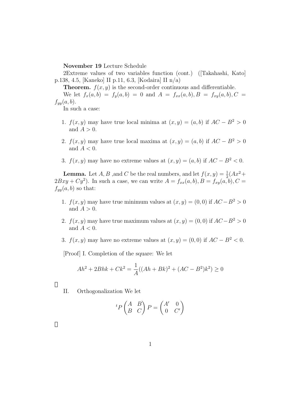**November 19** Lecture Schedule

2Extreme values of two variables function (cont.) ([Takahashi, Kato] p.138, 4.5, [Kaneko] II p.11, 6.3, [Kodaira] II n/a)

**Theorem.**  $f(x, y)$  is the second-order continuous and differentiable.

We let  $f_x(a, b) = f_y(a, b) = 0$  and  $A = f_{xx}(a, b), B = f_{xy}(a, b), C =$  $f_{yy}(a, b)$ .

In such a case:

- 1. *f*(*x, y*) may have true local minima at  $(x, y) = (a, b)$  if  $AC B^2 > 0$ and  $A > 0$ .
- 2. *f*(*x, y*) may have true local maxima at  $(x, y) = (a, b)$  if  $AC B^2 > 0$ and *A <* 0.
- 3. *f*(*x, y*) may have no extreme values at  $(x, y) = (a, b)$  if  $AC B^2 < 0$ .

**Lemma.** Let *A*, *B* , and *C* be the real numbers, and let  $f(x, y) = \frac{1}{2}(Ax^2 + y^2)$  $2Bxy + Cy^2$ ). In such a case, we can write  $A = f_{xx}(a, b), B = f_{xy}(a, b), C =$  $f_{yy}(a, b)$  so that:

- 1. *f*(*x, y*) may have true minimum values at  $(x, y) = (0, 0)$  if  $AC B^2 > 0$ and  $A > 0$ .
- 2. *f*(*x, y*) may have true maximum values at  $(x, y) = (0, 0)$  if  $AC B^2 > 0$ and *A <* 0.
- 3. *f*(*x, y*) may have no extreme values at  $(x, y) = (0, 0)$  if  $AC B^2 < 0$ .

[Proof] I. Completion of the square: We let

$$
Ah^{2} + 2Bhk + Ck^{2} = \frac{1}{A}((Ah + Bk)^{2} + (AC - B^{2})k^{2}) \ge 0
$$

II. Orthogonalization We let

$$
{}^{t}P\begin{pmatrix} A & B \\ B & C \end{pmatrix}P = \begin{pmatrix} A' & 0 \\ 0 & C' \end{pmatrix}
$$